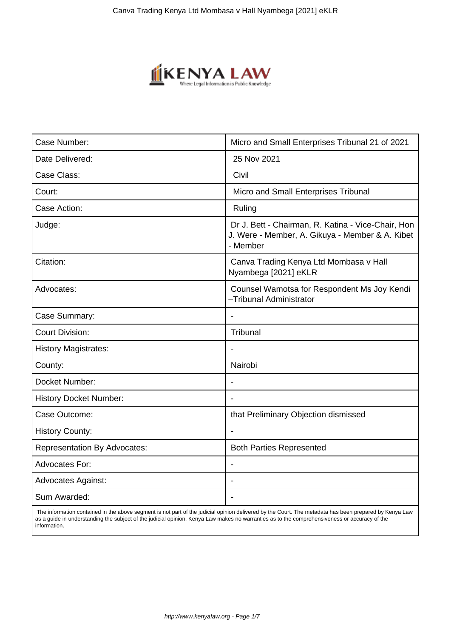

| Case Number:                        | Micro and Small Enterprises Tribunal 21 of 2021                                                                   |
|-------------------------------------|-------------------------------------------------------------------------------------------------------------------|
| Date Delivered:                     | 25 Nov 2021                                                                                                       |
| Case Class:                         | Civil                                                                                                             |
| Court:                              | Micro and Small Enterprises Tribunal                                                                              |
| Case Action:                        | Ruling                                                                                                            |
| Judge:                              | Dr J. Bett - Chairman, R. Katina - Vice-Chair, Hon<br>J. Were - Member, A. Gikuya - Member & A. Kibet<br>- Member |
| Citation:                           | Canva Trading Kenya Ltd Mombasa v Hall<br>Nyambega [2021] eKLR                                                    |
| Advocates:                          | Counsel Wamotsa for Respondent Ms Joy Kendi<br>-Tribunal Administrator                                            |
| Case Summary:                       | $\blacksquare$                                                                                                    |
| <b>Court Division:</b>              | Tribunal                                                                                                          |
| <b>History Magistrates:</b>         |                                                                                                                   |
| County:                             | Nairobi                                                                                                           |
| Docket Number:                      |                                                                                                                   |
| <b>History Docket Number:</b>       |                                                                                                                   |
| Case Outcome:                       | that Preliminary Objection dismissed                                                                              |
| <b>History County:</b>              |                                                                                                                   |
| <b>Representation By Advocates:</b> | <b>Both Parties Represented</b>                                                                                   |
| <b>Advocates For:</b>               | $\overline{\phantom{a}}$                                                                                          |
| <b>Advocates Against:</b>           |                                                                                                                   |
| Sum Awarded:                        | $\blacksquare$                                                                                                    |
|                                     |                                                                                                                   |

 The information contained in the above segment is not part of the judicial opinion delivered by the Court. The metadata has been prepared by Kenya Law as a guide in understanding the subject of the judicial opinion. Kenya Law makes no warranties as to the comprehensiveness or accuracy of the information.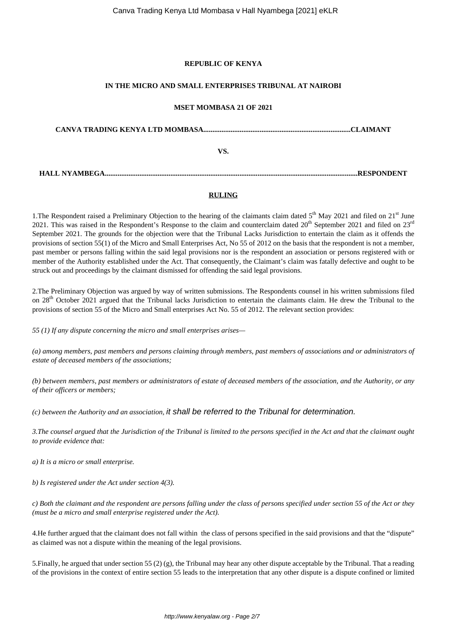### **REPUBLIC OF KENYA**

### **IN THE MICRO AND SMALL ENTERPRISES TRIBUNAL AT NAIROBI**

### **MSET MOMBASA 21 OF 2021**

**CANVA TRADING KENYA LTD MOMBASA.................................................................................CLAIMANT VS. HALL NYAMBEGA...........................................................................................................................................RESPONDENT**

## **RULING**

1. The Respondent raised a Preliminary Objection to the hearing of the claimants claim dated  $5<sup>th</sup>$  May 2021 and filed on 21<sup>st</sup> June 2021. This was raised in the Respondent's Response to the claim and counterclaim dated  $20<sup>th</sup>$  September 2021 and filed on  $23<sup>rd</sup>$ September 2021. The grounds for the objection were that the Tribunal Lacks Jurisdiction to entertain the claim as it offends the provisions of section 55(1) of the Micro and Small Enterprises Act, No 55 of 2012 on the basis that the respondent is not a member, past member or persons falling within the said legal provisions nor is the respondent an association or persons registered with or member of the Authority established under the Act. That consequently, the Claimant's claim was fatally defective and ought to be struck out and proceedings by the claimant dismissed for offending the said legal provisions.

2.The Preliminary Objection was argued by way of written submissions. The Respondents counsel in his written submissions filed on 28<sup>th</sup> October 2021 argued that the Tribunal lacks Jurisdiction to entertain the claimants claim. He drew the Tribunal to the provisions of section 55 of the Micro and Small enterprises Act No. 55 of 2012. The relevant section provides:

*55 (1) If any dispute concerning the micro and small enterprises arises—* 

*(a) among members, past members and persons claiming through members, past members of associations and or administrators of estate of deceased members of the associations;* 

*(b) between members, past members or administrators of estate of deceased members of the association, and the Authority, or any of their officers or members;* 

*(c) between the Authority and an association,* it shall be referred to the Tribunal for determination.

*3.The counsel argued that the Jurisdiction of the Tribunal is limited to the persons specified in the Act and that the claimant ought to provide evidence that:*

*a) It is a micro or small enterprise.*

*b) Is registered under the Act under section 4(3).*

*c) Both the claimant and the respondent are persons falling under the class of persons specified under section 55 of the Act or they (must be a micro and small enterprise registered under the Act).*

4.He further argued that the claimant does not fall within the class of persons specified in the said provisions and that the "dispute" as claimed was not a dispute within the meaning of the legal provisions.

5.Finally, he argued that under section 55 (2) (g), the Tribunal may hear any other dispute acceptable by the Tribunal. That a reading of the provisions in the context of entire section 55 leads to the interpretation that any other dispute is a dispute confined or limited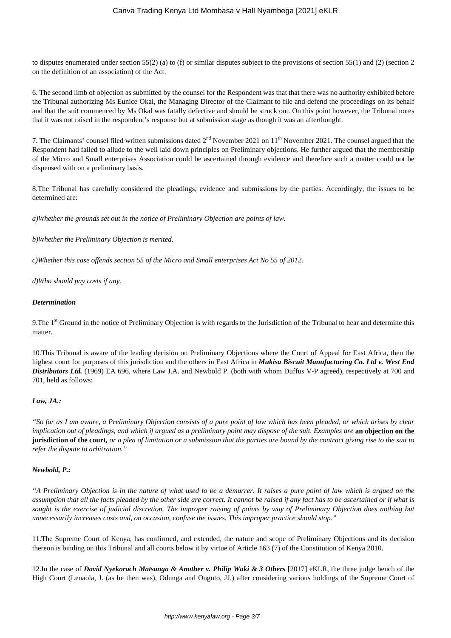to disputes enumerated under section 55(2) (a) to (f) or similar disputes subject to the provisions of section 55(1) and (2) (section 2 on the definition of an association) of the Act.

6. The second limb of objection as submitted by the counsel for the Respondent was that that there was no authority exhibited before the Tribunal authorizing Ms Eunice Okal, the Managing Director of the Claimant to file and defend the proceedings on its behalf and that the suit commenced by Ms Okal was fatally defective and should be struck out. On this point however, the Tribunal notes that it was not raised in the respondent's response but at submission stage as though it was an afterthought.

7. The Claimants' counsel filed written submissions dated  $2<sup>nd</sup>$  November 2021 on  $11<sup>th</sup>$  November 2021. The counsel argued that the Respondent had failed to allude to the well laid down principles on Preliminary objections. He further argued that the membership of the Micro and Small enterprises Association could be ascertained through evidence and therefore such a matter could not be dispensed with on a preliminary basis.

8.The Tribunal has carefully considered the pleadings, evidence and submissions by the parties. Accordingly, the issues to be determined are:

*a)Whether the grounds set out in the notice of Preliminary Objection are points of law.*

*b)Whether the Preliminary Objection is merited.* 

*c)Whether this case offends section 55 of the Micro and Small enterprises Act No 55 of 2012.*

*d)Who should pay costs if any.*

#### *Determination*

9. The 1<sup>st</sup> Ground in the notice of Preliminary Objection is with regards to the Jurisdiction of the Tribunal to hear and determine this matter.

10.This Tribunal is aware of the leading decision on Preliminary Objections where the Court of Appeal for East Africa, then the highest court for purposes of this jurisdiction and the others in East Africa in *Mukisa Biscuit Manufacturing Co. Ltd v. West End Distributors Ltd.* (1969) EA 696, where Law J.A. and Newbold P. (both with whom Duffus V-P agreed), respectively at 700 and 701, held as follows:

### *Law, JA.:*

*"So far as I am aware, a Preliminary Objection consists of a pure point of law which has been pleaded, or which arises by clear implication out of pleadings, and which if argued as a preliminary point may dispose of the suit. Examples are* an objection on the **jurisdiction of the court***, or a plea of limitation or a submission that the parties are bound by the contract giving rise to the suit to refer the dispute to arbitration."*

### *Newbold, P.:*

*"A Preliminary Objection is in the nature of what used to be a demurrer. It raises a pure point of law which is argued on the assumption that all the facts pleaded by the other side are correct. It cannot be raised if any fact has to be ascertained or if what is sought is the exercise of judicial discretion. The improper raising of points by way of Preliminary Objection does nothing but unnecessarily increases costs and, on occasion, confuse the issues. This improper practice should stop."*

11.The Supreme Court of Kenya, has confirmed, and extended, the nature and scope of Preliminary Objections and its decision thereon is binding on this Tribunal and all courts below it by virtue of Article 163 (7) of the Constitution of Kenya 2010.

12.In the case of *David Nyekorach Matsanga & Another v. Philip Waki & 3 Others* [2017] eKLR, the three judge bench of the High Court (Lenaola, J. (as he then was), Odunga and Onguto, JJ.) after considering various holdings of the Supreme Court of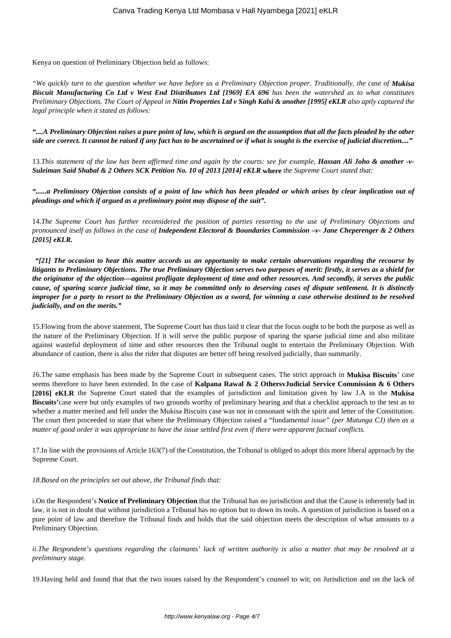Kenya on question of Preliminary Objection held as follows:

*"We quickly turn to the question whether we have before us a Preliminary Objection proper. Traditionally, the case of Mukisa Biscuit Manufacturing Co Ltd v West End Distributors Ltd [1969] EA 696 has been the watershed as to what constitutes Preliminary Objections. The Court of Appeal in Nitin Properties Ltd v Singh Kalsi & another [1995] eKLR also aptly captured the legal principle when it stated as follows:*

*"....A Preliminary Objection raises a pure point of law, which is argued on the assumption that all the facts pleaded by the other side are correct. It cannot be raised if any fact has to be ascertained or if what is sought is the exercise of judicial discretion...."*

13. This statement of the law has been affirmed time and again by the courts: see for example, **Hassan Ali Joho & another -v-***Suleiman Said Shabal & 2 Others SCK Petition No. 10 of 2013 [2014] eKLR* **where** *the Supreme Court stated that:*

*"......a Preliminary Objection consists of a point of law which has been pleaded or which arises by clear implication out of pleadings and which if argued as a preliminary point may dispose of the suit".*

14.*The Supreme Court has further reconsidered the position of parties resorting to the use of Preliminary Objections and pronounced itself as follows in the case of Independent Electoral & Boundaries Commission –v- Jane Cheperenger & 2 Others [2015] eKLR.*

*"[21] The occasion to hear this matter accords us an opportunity to make certain observations regarding the recourse by litigants to Preliminary Objections. The true Preliminary Objection serves two purposes of merit: firstly, it serves as a shield for the originator of the objection—against profligate deployment of time and other resources. And secondly, it serves the public cause, of sparing scarce judicial time, so it may be committed only to deserving cases of dispute settlement. It is distinctly improper for a party to resort to the Preliminary Objection as a sword, for winning a case otherwise destined to be resolved judicially, and on the merits."*

15.Flowing from the above statement, The Supreme Court has thus laid it clear that the focus ought to be both the purpose as well as the nature of the Preliminary Objection. If it will serve the public purpose of sparing the sparse judicial time and also militate against wasteful deployment of time and other resources then the Tribunal ought to entertain the Preliminary Objection. With abundance of caution, there is also the rider that disputes are better off being resolved judicially, than summarily.

*1*6.The same emphasis has been made by the Supreme Court in subsequent cases. The strict approach in **Mukisa Biscuits**' case seems therefore to have been extended. In the case of **Kalpana Rawal & 2 OthersvJudicial Service Commission & 6 Others [2016] eKLR** the Supreme Court stated that the examples of jurisdiction and limitation given by law J.A in the **Mukisa Biscuits'**case were but only examples of two grounds worthy of preliminary hearing and that a checklist approach to the test as to whether a matter merited and fell under the Mukisa Biscuits case was not in consonant with the spirit and letter of the Constitution. The court then proceeded to state that where the Preliminary Objection raised a "fundam*ental issue" (per Mutunga CJ) then as a matter of good order it was appropriate to have the issue settled first even if there were apparent factual conflicts.*

17.In line with the provisions of Article 163(7) of the Constitution, the Tribunal is obliged to adopt this more liberal approach by the Supreme Court.

*18.Based on the principles set out above, the Tribunal finds that:*

i.On the Respondent's **Notice of Preliminary Objection** that the Tribunal has no jurisdiction and that the Cause is inherently bad in law, it is not in doubt that without jurisdiction a Tribunal has no option but to down its tools. A question of jurisdiction is based on a pure point of law and therefore the Tribunal finds and holds that the said objection meets the description of what amounts to a Preliminary Objection.

*ii.The Respondent's questions regarding the claimants' lack of written authority is also a matter that may be resolved at a preliminary stage.* 

19.Having held and found that that the two issues raised by the Respondent's counsel to wit; on Jurisdiction and on the lack of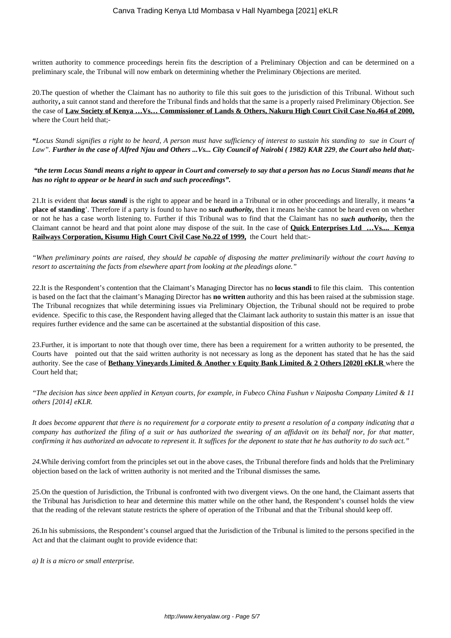written authority to commence proceedings herein fits the description of a Preliminary Objection and can be determined on a preliminary scale, the Tribunal will now embark on determining whether the Preliminary Objections are merited.

20.The question of whether the Claimant has no authority to file this suit goes to the jurisdiction of this Tribunal. Without such authority**,** a suit cannot stand and therefore the Tribunal finds and holds that the same is a properly raised Preliminary Objection. See the case of **Law Society of Kenya …Vs… Commissioner of Lands & Others, Nakuru High Court Civil Case No.464 of 2000,** where the Court held that;-

*"Locus Standi signifies a right to be heard, A person must have sufficiency of interest to sustain his standing to sue in Court of Law". Further in the case of Alfred Njau and Others ...Vs... City Council of Nairobi ( 1982) KAR 229, the Court also held that;-*

*"the term Locus Standi means a right to appear in Court and conversely to say that a person has no Locus Standi means that he has no right to appear or be heard in such and such proceedings".*

21.It is evident that *locus standi* is the right to appear and be heard in a Tribunal or in other proceedings and literally, it means **'a place of standing**'. Therefore if a party is found to have no *such authority,* then it means he/she cannot be heard even on whether or not he has a case worth listening to. Further if this Tribunal was to find that the Claimant has no *such authority,* then the Claimant cannot be heard and that point alone may dispose of the suit. In the case of **Quick Enterprises Ltd …Vs.... Kenya Railways Corporation, Kisumu High Court Civil Case No.22 of 1999,** the Court held that:-

*"When preliminary points are raised, they should be capable of disposing the matter preliminarily without the court having to resort to ascertaining the facts from elsewhere apart from looking at the pleadings alone."*

22.It is the Respondent's contention that the Claimant's Managing Director has no **locus standi** to file this claim. This contention is based on the fact that the claimant's Managing Director has **no written** authority and this has been raised at the submission stage. The Tribunal recognizes that while determining issues via Preliminary Objection, the Tribunal should not be required to probe evidence. Specific to this case, the Respondent having alleged that the Claimant lack authority to sustain this matter is an issue that requires further evidence and the same can be ascertained at the substantial disposition of this case.

23.Further, it is important to note that though over time, there has been a requirement for a written authority to be presented, the Courts have pointed out that the said written authority is not necessary as long as the deponent has stated that he has the said authority. See the case of **Bethany Vineyards Limited & Another v Equity Bank Limited & 2 Others [2020] eKLR** where the Court held that;

*"The decision has since been applied in Kenyan courts, for example, in Fubeco China Fushun v Naiposha Company Limited & 11 others [2014] eKLR.*

*It does become apparent that there is no requirement for a corporate entity to present a resolution of a company indicating that a company has authorized the filing of a suit or has authorized the swearing of an affidavit on its behalf nor, for that matter, confirming it has authorized an advocate to represent it. It suffices for the deponent to state that he has authority to do such act."*

*24.*While deriving comfort from the principles set out in the above cases, the Tribunal therefore finds and holds that the Preliminary objection based on the lack of written authority is not merited and the Tribunal dismisses the same*.*

25.On the question of Jurisdiction, the Tribunal is confronted with two divergent views. On the one hand, the Claimant asserts that the Tribunal has Jurisdiction to hear and determine this matter while on the other hand, the Respondent's counsel holds the view that the reading of the relevant statute restricts the sphere of operation of the Tribunal and that the Tribunal should keep off.

26.In his submissions, the Respondent's counsel argued that the Jurisdiction of the Tribunal is limited to the persons specified in the Act and that the claimant ought to provide evidence that:

*a) It is a micro or small enterprise.*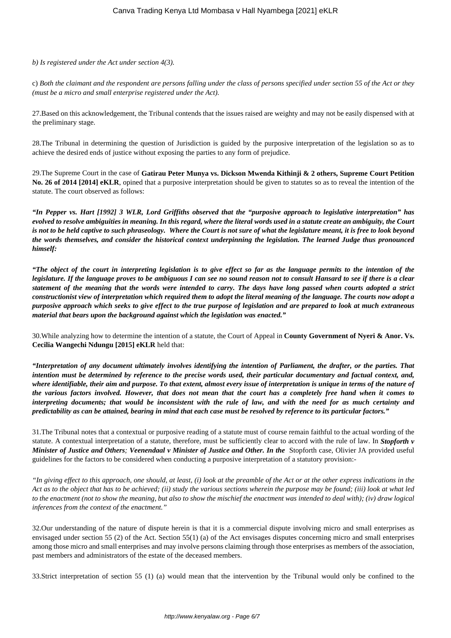*b) Is registered under the Act under section 4(3).*

c) *Both the claimant and the respondent are persons falling under the class of persons specified under section 55 of the Act or they (must be a micro and small enterprise registered under the Act).*

27.Based on this acknowledgement, the Tribunal contends that the issues raised are weighty and may not be easily dispensed with at the preliminary stage.

28.The Tribunal in determining the question of Jurisdiction is guided by the purposive interpretation of the legislation so as to achieve the desired ends of justice without exposing the parties to any form of prejudice.

29.The Supreme Court in the case of **Gatirau Peter Munya vs. Dickson Mwenda Kithinji & 2 others, Supreme Court Petition No. 26 of 2014 [2014] eKLR**, opined that a purposive interpretation should be given to statutes so as to reveal the intention of the statute. The court observed as follows:

*"In Pepper vs. Hart [1992] 3 WLR, Lord Griffiths observed that the "purposive approach to legislative interpretation" has evolved to resolve ambiguities in meaning. In this regard, where the literal words used in a statute create an ambiguity, the Court is not to be held captive to such phraseology. Where the Court is not sure of what the legislature meant, it is free to look beyond the words themselves, and consider the historical context underpinning the legislation. The learned Judge thus pronounced himself:*

*"The object of the court in interpreting legislation is to give effect so far as the language permits to the intention of the legislature. If the language proves to be ambiguous I can see no sound reason not to consult Hansard to see if there is a clear statement of the meaning that the words were intended to carry. The days have long passed when courts adopted a strict constructionist view of interpretation which required them to adopt the literal meaning of the language. The courts now adopt a purposive approach which seeks to give effect to the true purpose of legislation and are prepared to look at much extraneous material that bears upon the background against which the legislation was enacted."*

30.While analyzing how to determine the intention of a statute, the Court of Appeal in **County Government of Nyeri & Anor. Vs. Cecilia Wangechi Ndungu [2015] eKLR** held that:

*"Interpretation of any document ultimately involves identifying the intention of Parliament, the drafter, or the parties. That intention must be determined by reference to the precise words used, their particular documentary and factual context, and, where identifiable, their aim and purpose. To that extent, almost every issue of interpretation is unique in terms of the nature of the various factors involved. However, that does not mean that the court has a completely free hand when it comes to interpreting documents; that would be inconsistent with the rule of law, and with the need for as much certainty and predictability as can be attained, bearing in mind that each case must be resolved by reference to its particular factors."*

31.The Tribunal notes that a contextual or purposive reading of a statute must of course remain faithful to the actual wording of the statute. A contextual interpretation of a statute, therefore, must be sufficiently clear to accord with the rule of law. In *Stopforth v Minister of Justice and Others; Veenendaal v Minister of Justice and Other. In the* Stopforth case, Olivier JA provided useful guidelines for the factors to be considered when conducting a purposive interpretation of a statutory provision:-

*"In giving effect to this approach, one should, at least, (i) look at the preamble of the Act or at the other express indications in the Act as to the object that has to be achieved; (ii) study the various sections wherein the purpose may be found; (iii) look at what led to the enactment (not to show the meaning, but also to show the mischief the enactment was intended to deal with); (iv) draw logical inferences from the context of the enactment."*

32.Our understanding of the nature of dispute herein is that it is a commercial dispute involving micro and small enterprises as envisaged under section 55 (2) of the Act. Section 55(1) (a) of the Act envisages disputes concerning micro and small enterprises among those micro and small enterprises and may involve persons claiming through those enterprises as members of the association, past members and administrators of the estate of the deceased members.

33.Strict interpretation of section 55 (1) (a) would mean that the intervention by the Tribunal would only be confined to the